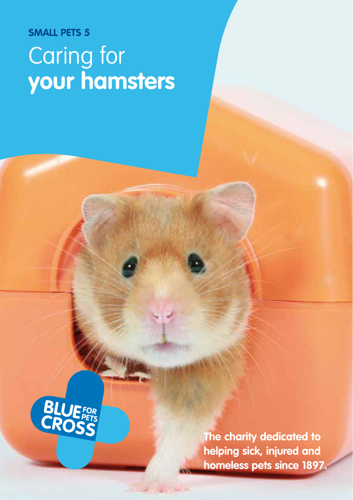# **SMALL PETS 5** Caring for **your hamsters**



**The charity dedicated to helping sick, injured and homeless pets since 1897.**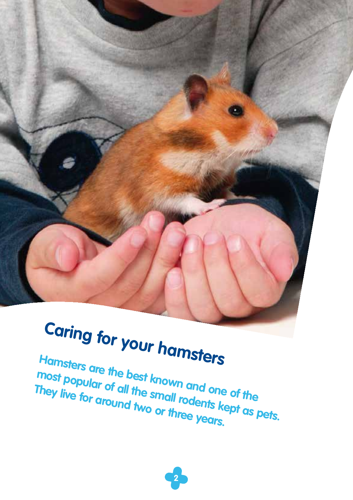# **Caring for your hamsters**

**Hamsters are the best known and one of the most popular of all the small rodents kept as pets. They live for around two or three years.**

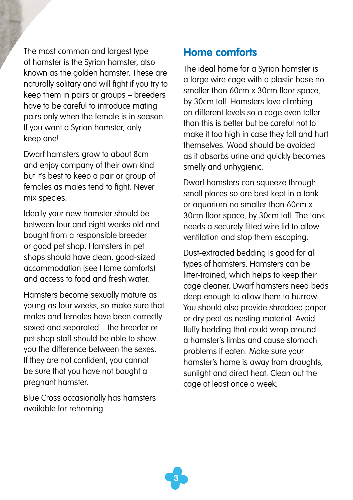The most common and largest type of hamster is the Syrian hamster, also known as the golden hamster. These are naturally solitary and will fight if you try to keep them in pairs or groups – breeders have to be careful to introduce mating pairs only when the female is in season. If you want a Syrian hamster, only keep one!

Dwarf hamsters grow to about 8cm and enjoy company of their own kind but it's best to keep a pair or group of females as males tend to fight. Never mix species.

Ideally your new hamster should be between four and eight weeks old and bought from a responsible breeder or good pet shop. Hamsters in pet shops should have clean, good-sized accommodation (see Home comforts) and access to food and fresh water.

Hamsters become sexually mature as young as four weeks, so make sure that males and females have been correctly sexed and separated – the breeder or pet shop staff should be able to show you the difference between the sexes. If they are not confident, you cannot be sure that you have not bought a pregnant hamster.

Blue Cross occasionally has hamsters available for rehoming.

### **Home comforts**

The ideal home for a Syrian hamster is a large wire cage with a plastic base no smaller than 60cm x 30cm floor space, by 30cm tall. Hamsters love climbing on different levels so a cage even taller than this is better but be careful not to make it too high in case they fall and hurt themselves. Wood should be avoided as it absorbs urine and quickly becomes smelly and unhygienic.

Dwarf hamsters can squeeze through small places so are best kept in a tank or aquarium no smaller than 60cm x 30cm floor space, by 30cm tall. The tank needs a securely fitted wire lid to allow ventilation and stop them escaping.

Dust-extracted bedding is good for all types of hamsters. Hamsters can be litter-trained, which helps to keep their cage cleaner. Dwarf hamsters need beds deep enough to allow them to burrow. You should also provide shredded paper or dry peat as nesting material. Avoid fluffy bedding that could wrap around a hamster's limbs and cause stomach problems if eaten. Make sure your hamster's home is away from draughts, sunlight and direct heat. Clean out the cage at least once a week.

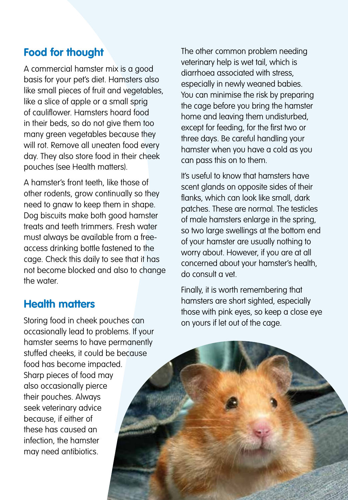## **Food for thought**

A commercial hamster mix is a good basis for your pet's diet. Hamsters also like small pieces of fruit and vegetables, like a slice of apple or a small sprig of cauliflower. Hamsters hoard food in their beds, so do not give them too many green vegetables because they will rot. Remove all uneaten food every day. They also store food in their cheek pouches (see Health matters).

A hamster's front teeth, like those of other rodents, grow continually so they need to gnaw to keep them in shape. Dog biscuits make both good hamster treats and teeth trimmers. Fresh water must always be available from a freeaccess drinking bottle fastened to the cage. Check this daily to see that it has not become blocked and also to change the water.

#### **Health matters**

Storing food in cheek pouches can occasionally lead to problems. If your hamster seems to have permanently stuffed cheeks, it could be because food has become impacted. Sharp pieces of food may also occasionally pierce their pouches. Always seek veterinary advice because, if either of these has caused an infection, the hamster may need antibiotics.

The other common problem needing veterinary help is wet tail, which is diarrhoea associated with stress, especially in newly weaned babies. You can minimise the risk by preparing the cage before you bring the hamster home and leaving them undisturbed, except for feeding, for the first two or three days. Be careful handling your hamster when you have a cold as you can pass this on to them.

It's useful to know that hamsters have scent glands on opposite sides of their flanks, which can look like small, dark patches. These are normal. The testicles of male hamsters enlarge in the spring, so two large swellings at the bottom end of your hamster are usually nothing to worry about. However, if you are at all concerned about your hamster's health, do consult a vet.

Finally, it is worth remembering that hamsters are short sighted, especially those with pink eyes, so keep a close eye on yours if let out of the cage.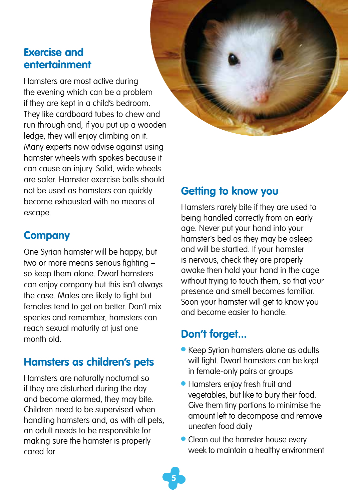#### **Exercise and entertainment**

Hamsters are most active during the evening which can be a problem if they are kept in a child's bedroom. They like cardboard tubes to chew and run through and, if you put up a wooden ledge, they will enjoy climbing on it. Many experts now advise against using hamster wheels with spokes because it can cause an injury. Solid, wide wheels are safer. Hamster exercise balls should not be used as hamsters can quickly become exhausted with no means of escape.

## **Company**

One Syrian hamster will be happy, but two or more means serious fighting – so keep them alone. Dwarf hamsters can enjoy company but this isn't always the case. Males are likely to fight but females tend to get on better. Don't mix species and remember, hamsters can reach sexual maturity at just one month old.

# **Hamsters as children's pets**

Hamsters are naturally nocturnal so if they are disturbed during the day and become alarmed, they may bite. Children need to be supervised when handling hamsters and, as with all pets, an adult needs to be responsible for making sure the hamster is properly cared for.

# **Getting to know you**

Hamsters rarely bite if they are used to being handled correctly from an early age. Never put your hand into your hamster's bed as they may be asleep and will be startled. If your hamster is nervous, check they are properly awake then hold your hand in the cage without trying to touch them, so that your presence and smell becomes familiar. Soon your hamster will get to know you and become easier to handle.

# **Don't forget...**

**5**

- Keep Syrian hamsters alone as adults will fight. Dwarf hamsters can be kept in female-only pairs or groups
- **Hamsters enjoy fresh fruit and** vegetables, but like to bury their food. Give them tiny portions to minimise the amount left to decompose and remove uneaten food daily
- Clean out the hamster house every week to maintain a healthy environment